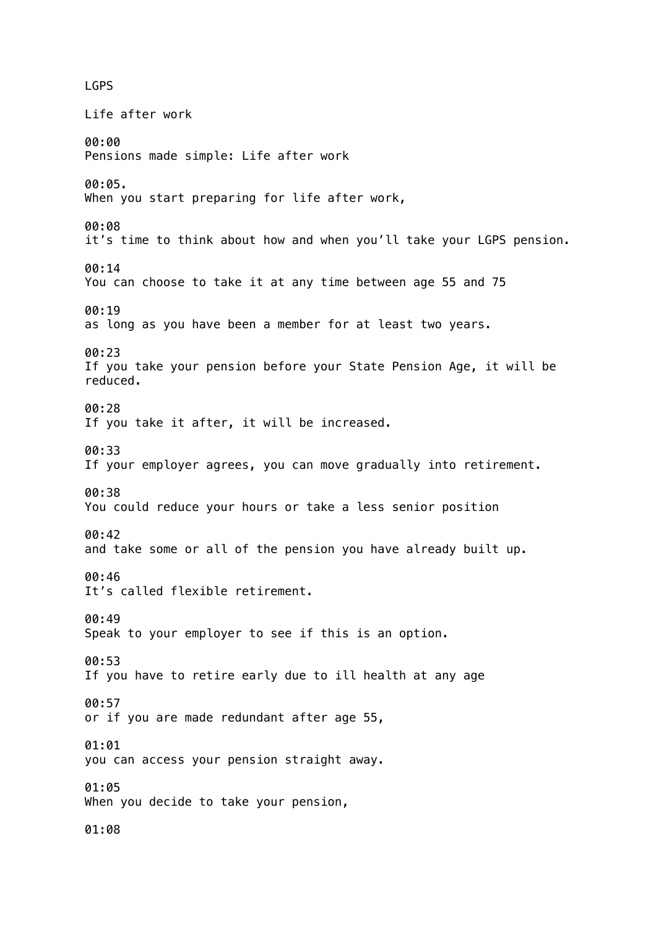LGPS Life after work 00:00 Pensions made simple: Life after work 00:05. When you start preparing for life after work, 00:08 it's time to think about how and when you'll take your LGPS pension. 00:14 You can choose to take it at any time between age 55 and 75 00:19 as long as you have been a member for at least two years. 00:23 If you take your pension before your State Pension Age, it will be reduced. 00:28 If you take it after, it will be increased. 00:33 If your employer agrees, you can move gradually into retirement. 00:38 You could reduce your hours or take a less senior position 00:42 and take some or all of the pension you have already built up. 00:46 It's called flexible retirement. 00:49 Speak to your employer to see if this is an option. 00:53 If you have to retire early due to ill health at any age 00:57 or if you are made redundant after age 55, 01:01 you can access your pension straight away. 01:05 When you decide to take your pension, 01:08